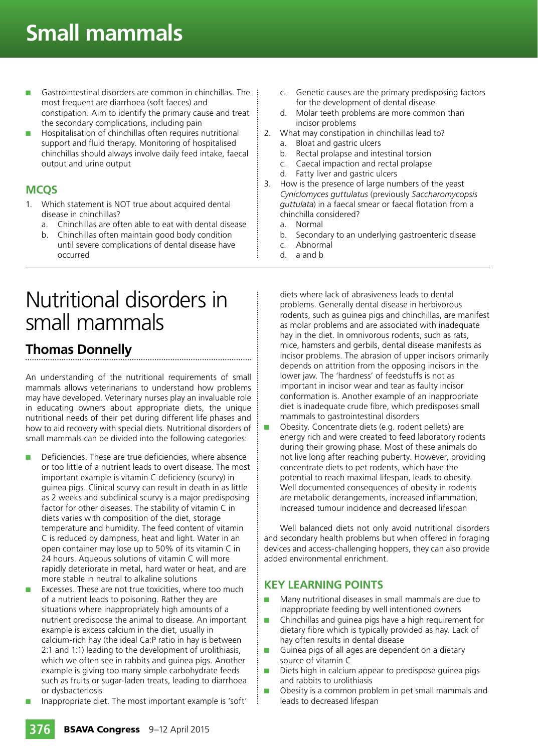# **Small mammals**

- Gastrointestinal disorders are common in chinchillas. The most frequent are diarrhoea (soft faeces) and constipation. Aim to identify the primary cause and treat the secondary complications, including pain
- Hospitalisation of chinchillas often requires nutritional support and fluid therapy. Monitoring of hospitalised chinchillas should always involve daily feed intake, faecal output and urine output

#### **MCQS**

- 1. Which statement is NOT true about acquired dental disease in chinchillas?
	- a. Chinchillas are often able to eat with dental disease
	- b. Chinchillas often maintain good body condition until severe complications of dental disease have occurred

## Nutritional disorders in small mammals

## **Thomas Donnelly**

An understanding of the nutritional requirements of small mammals allows veterinarians to understand how problems may have developed. Veterinary nurses play an invaluable role in educating owners about appropriate diets, the unique nutritional needs of their pet during different life phases and how to aid recovery with special diets. Nutritional disorders of small mammals can be divided into the following categories:

- Deficiencies. These are true deficiencies, where absence or too little of a nutrient leads to overt disease. The most important example is vitamin C deficiency (scurvy) in guinea pigs. Clinical scurvy can result in death in as little as 2 weeks and subclinical scurvy is a major predisposing factor for other diseases. The stability of vitamin C in diets varies with composition of the diet, storage temperature and humidity. The feed content of vitamin C is reduced by dampness, heat and light. Water in an open container may lose up to 50% of its vitamin C in 24 hours. Aqueous solutions of vitamin C will more rapidly deteriorate in metal, hard water or heat, and are more stable in neutral to alkaline solutions
- Excesses. These are not true toxicities, where too much of a nutrient leads to poisoning. Rather they are situations where inappropriately high amounts of a nutrient predispose the animal to disease. An important example is excess calcium in the diet, usually in calcium-rich hay (the ideal Ca:P ratio in hay is between 2:1 and 1:1) leading to the development of urolithiasis, which we often see in rabbits and guinea pigs. Another example is giving too many simple carbohydrate feeds such as fruits or sugar-laden treats, leading to diarrhoea or dysbacteriosis
- Inappropriate diet. The most important example is 'soft'
- Genetic causes are the primary predisposing factors for the development of dental disease
- d. Molar teeth problems are more common than incisor problems
- 2. What may constipation in chinchillas lead to?
	- a. Bloat and gastric ulcers
	- b. Rectal prolapse and intestinal torsion
	- c. Caecal impaction and rectal prolapse
	- d. Fatty liver and gastric ulcers
- 3. How is the presence of large numbers of the yeast *Cyniclomyces guttulatus* (previously *Saccharomycopsis guttulata*) in a faecal smear or faecal flotation from a chinchilla considered?
	- a. Normal
	- b. Secondary to an underlying gastroenteric disease
	- c. Abnormal
	- d. a and b

diets where lack of abrasiveness leads to dental problems. Generally dental disease in herbivorous rodents, such as guinea pigs and chinchillas, are manifest as molar problems and are associated with inadequate hay in the diet. In omnivorous rodents, such as rats, mice, hamsters and gerbils, dental disease manifests as incisor problems. The abrasion of upper incisors primarily depends on attrition from the opposing incisors in the lower jaw. The 'hardness' of feedstuffs is not as important in incisor wear and tear as faulty incisor conformation is. Another example of an inappropriate diet is inadequate crude fibre, which predisposes small mammals to gastrointestinal disorders

■ Obesity. Concentrate diets (e.g. rodent pellets) are energy rich and were created to feed laboratory rodents during their growing phase. Most of these animals do not live long after reaching puberty. However, providing concentrate diets to pet rodents, which have the potential to reach maximal lifespan, leads to obesity. Well documented consequences of obesity in rodents are metabolic derangements, increased inflammation, increased tumour incidence and decreased lifespan

Well balanced diets not only avoid nutritional disorders and secondary health problems but when offered in foraging devices and access-challenging hoppers, they can also provide added environmental enrichment.

## **KEY LEARNING POINTS**

- Many nutritional diseases in small mammals are due to inappropriate feeding by well intentioned owners
- Chinchillas and quinea pigs have a high requirement for dietary fibre which is typically provided as hay. Lack of hay often results in dental disease
- Guinea pigs of all ages are dependent on a dietary source of vitamin C
- Diets high in calcium appear to predispose guinea pigs and rabbits to urolithiasis
- Obesity is a common problem in pet small mammals and leads to decreased lifespan